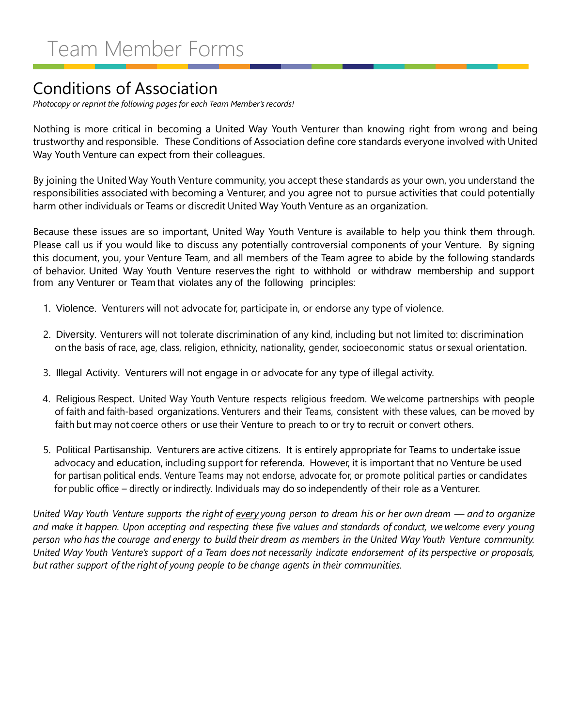#### Conditions of Association

*Photocopy or reprint the following pages for each Team Member's records!*

Nothing is more critical in becoming a United Way Youth Venturer than knowing right from wrong and being trustworthy and responsible. These Conditions of Association define core standards everyone involved with United Way Youth Venture can expect from their colleagues.

By joining the United Way Youth Venture community, you accept these standards as your own, you understand the responsibilities associated with becoming a Venturer, and you agree not to pursue activities that could potentially harm other individuals or Teams or discredit United Way Youth Venture as an organization.

Because these issues are so important, United Way Youth Venture is available to help you think them through. Please call us if you would like to discuss any potentially controversial components of your Venture. By signing this document, you, your Venture Team, and all members of the Team agree to abide by the following standards of behavior. United Way Youth Venture reserves the right to withhold or withdraw membership and support from any Venturer or Team that violates any of the following principles:

- 1. Violence. Venturers will not advocate for, participate in, or endorse any type of violence.
- 2. Diversity. Venturers will not tolerate discrimination of any kind, including but not limited to: discrimination on the basis of race, age, class, religion, ethnicity, nationality, gender, socioeconomic status or sexual orientation.
- 3. Illegal Activity. Venturers will not engage in or advocate for any type of illegal activity.
- 4. Religious Respect. United Way Youth Venture respects religious freedom. We welcome partnerships with people of faith and faith-based organizations. Venturers and their Teams, consistent with these values, can be moved by faith but may not coerce others or use their Venture to preach to or try to recruit or convert others.
- 5. Political Partisanship. Venturers are active citizens. It is entirely appropriate for Teams to undertake issue advocacy and education, including support for referenda. However, it is important that no Venture be used for partisan political ends. Venture Teams may not endorse, advocate for, or promote political parties or candidates for public office – directly or indirectly. Individuals may do so independently of their role as a Venturer.

*United Way Youth Venture supports the right of every young person to dream his or her own dream — and to organize and make it happen. Upon accepting and respecting these five values and standards of conduct, we welcome every young person who has the courage and energy to build their dream as members in the United Way Youth Venture community. United Way Youth Venture's support of a Team does not necessarily indicate endorsement of its perspective or proposals, but rather support of the right of young people to be change agents in their communities.*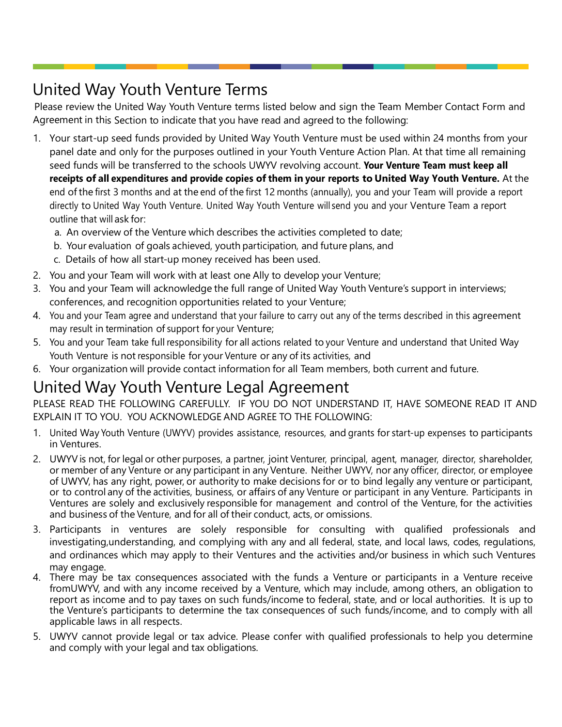## United Way Youth Venture Terms

Please review the United Way Youth Venture terms listed below and sign the Team Member Contact Form and Agreement in this Section to indicate that you have read and agreed to the following:

- 1. Your start-up seed funds provided by United Way Youth Venture must be used within 24 months from your panel date and only for the purposes outlined in your Youth Venture Action Plan. At that time all remaining seed funds will be transferred to the schools UWYV revolving account. **Your Venture Team must keep all receipts of all expenditures and provide copies of them in your reports to United Way Youth Venture.** At the end of the first 3 months and at the end of the first 12 months (annually), you and your Team will provide a report directly to United Way Youth Venture. United Way Youth Venture will send you and your Venture Team a report outline that will ask for:
	- a. An overview of the Venture which describes the activities completed to date;
	- b. Your evaluation of goals achieved, youth participation, and future plans, and
	- c. Details of how all start-up money received has been used.
- 2. You and your Team will work with at least one Ally to develop your Venture;
- 3. You and your Team will acknowledge the full range of United Way Youth Venture's support in interviews; conferences, and recognition opportunities related to your Venture;
- 4. You and your Team agree and understand that your failure to carry out any of the terms described in this agreement may result in termination of support for your Venture;
- 5. You and your Team take full responsibility for all actions related to your Venture and understand that United Way Youth Venture is not responsible for your Venture or any of its activities, and
- 6. Your organization will provide contact information for all Team members, both current and future.

### United Way Youth Venture Legal Agreement

PLEASE READ THE FOLLOWING CAREFULLY. IF YOU DO NOT UNDERSTAND IT, HAVE SOMEONE READ IT AND EXPLAIN IT TO YOU. YOU ACKNOWLEDGE AND AGREE TO THE FOLLOWING:

- 1. United Way Youth Venture (UWYV) provides assistance, resources, and grants for start-up expenses to participants in Ventures.
- 2. UWYV is not, for legal or other purposes, a partner, joint Venturer, principal, agent, manager, director, shareholder, or member of any Venture or any participant in any Venture. Neither UWYV, nor any officer, director, or employee of UWYV, has any right, power, or authority to make decisions for or to bind legally any venture or participant, or to control any of the activities, business, or affairs of any Venture or participant in any Venture. Participants in Ventures are solely and exclusively responsible for management and control of the Venture, for the activities and business of the Venture, and for all of their conduct, acts, or omissions.
- 3. Participants in ventures are solely responsible for consulting with qualified professionals and investigating,understanding, and complying with any and all federal, state, and local laws, codes, regulations, and ordinances which may apply to their Ventures and the activities and/or business in which such Ventures may engage.
- 4. There may be tax consequences associated with the funds a Venture or participants in a Venture receive fromUWYV, and with any income received by a Venture, which may include, among others, an obligation to report as income and to pay taxes on such funds/income to federal, state, and or local authorities. It is up to the Venture's participants to determine the tax consequences of such funds/income, and to comply with all applicable laws in all respects.
- 5. UWYV cannot provide legal or tax advice. Please confer with qualified professionals to help you determine and comply with your legal and tax obligations.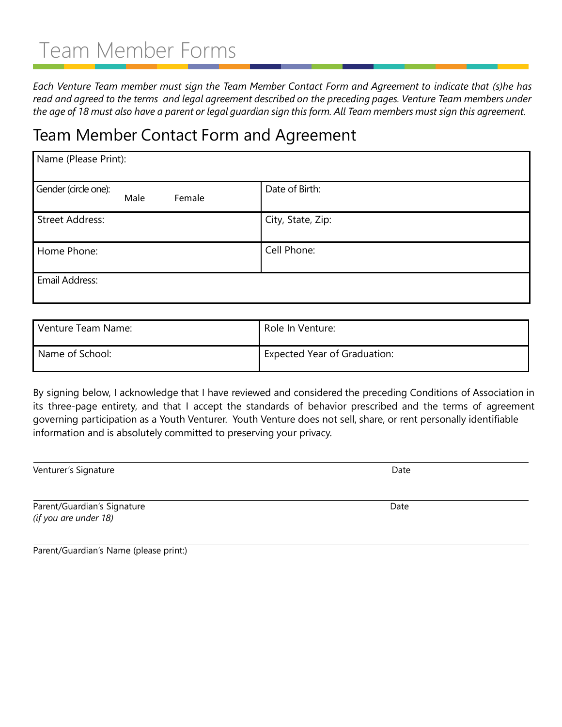# Team Member Forms

*Each Venture Team member must sign the Team Member Contact Form and Agreement to indicate that (s)he has read and agreed to the terms and legal agreement described on the preceding pages. Venture Team members under the age of 18 must also have a parent or legal guardian sign this form. All Team members must sign this agreement.*

#### Team Member Contact Form and Agreement

| Name (Please Print):                   |                   |  |  |
|----------------------------------------|-------------------|--|--|
| Gender (circle one):<br>Male<br>Female | Date of Birth:    |  |  |
| <b>Street Address:</b>                 | City, State, Zip: |  |  |
| Home Phone:                            | Cell Phone:       |  |  |
| Email Address:                         |                   |  |  |

| Venture Team Name: | Role In Venture:                    |
|--------------------|-------------------------------------|
| Name of School:    | <b>Expected Year of Graduation:</b> |

By signing below, I acknowledge that I have reviewed and considered the preceding Conditions of Association in its three-page entirety, and that I accept the standards of behavior prescribed and the terms of agreement governing participation as a Youth Venturer. Youth Venture does not sell, share, or rent personally identifiable information and is absolutely committed to preserving your privacy.

| Venturer's Signature        | Date |
|-----------------------------|------|
|                             |      |
| Parent/Guardian's Signature | Date |

Parent/Guardian's Name (please print:)

*(if you are under 18)*